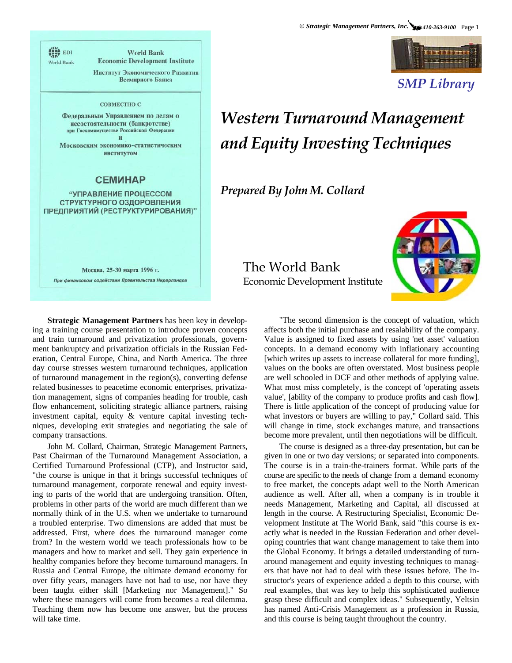

*SMP Library* 

## *Western Turnaround Management and Equity Investing Techniques*

*Prepared By John M. Collard*



**Strategic Management Partners** has been key in developing a training course presentation to introduce proven concepts and train turnaround and privatization professionals, government bankruptcy and privatization officials in the Russian Federation, Central Europe, China, and North America. The three day course stresses western turnaround techniques, application of turnaround management in the region(s), converting defense related businesses to peacetime economic enterprises, privatization management, signs of companies heading for trouble, cash flow enhancement, soliciting strategic alliance partners, raising investment capital, equity & venture capital investing techniques, developing exit strategies and negotiating the sale of company transactions.

**World Bank Economic Development Institute** 

Институт Экономического Развития Всемирного Банка

СОВМЕСТНО С Федеральным Управлением по делам о несостоятельности (банкротстве) при Госкомимуществе Российской Федерации  $\mathbf{H}$ Московским экономико-статистическим институтом

**CEMMHAP** "УПРАВЛЕНИЕ ПРОЦЕССОМ СТРУКТУРНОГО ОЗДОРОВЛЕНИЯ ПРЕДПРИЯТИЙ (РЕСТРУКТУРИРОВАНИЯ)"

Москва, 25-30 марта 1996 г. При финансовом содействии Правительства Нидерландов

(iii) EDI

World Bank

John M. Collard, Chairman, Strategic Management Partners, Past Chairman of the Turnaround Management Association, a Certified Turnaround Professional (CTP), and Instructor said, "the course is unique in that it brings successful techniques of turnaround management, corporate renewal and equity investing to parts of the world that are undergoing transition. Often, problems in other parts of the world are much different than we normally think of in the U.S. when we undertake to turnaround a troubled enterprise. Two dimensions are added that must be addressed. First, where does the turnaround manager come from? In the western world we teach professionals how to be managers and how to market and sell. They gain experience in healthy companies before they become turnaround managers. In Russia and Central Europe, the ultimate demand economy for over fifty years, managers have not had to use, nor have they been taught either skill [Marketing nor Management]." So where these managers will come from becomes a real dilemma. Teaching them now has become one answer, but the process will take time.

The World Bank Economic Development Institute

> "The second dimension is the concept of valuation, which affects both the initial purchase and resalability of the company. Value is assigned to fixed assets by using 'net asset' valuation concepts. In a demand economy with inflationary accounting [which writes up assets to increase collateral for more funding], values on the books are often overstated. Most business people are well schooled in DCF and other methods of applying value. What most miss completely, is the concept of 'operating assets value', [ability of the company to produce profits and cash flow]. There is little application of the concept of producing value for what investors or buyers are willing to pay," Collard said. This will change in time, stock exchanges mature, and transactions become more prevalent, until then negotiations will be difficult.

> The course is designed as a three-day presentation, but can be given in one or two day versions; or separated into components. The course is in a train-the-trainers format. While parts of the course are specific to the needs of change from a demand economy to free market, the concepts adapt well to the North American audience as well. After all, when a company is in trouble it needs Management, Marketing and Capital, all discussed at length in the course. A Restructuring Specialist, Economic Development Institute at The World Bank, said "this course is exactly what is needed in the Russian Federation and other developing countries that want change management to take them into the Global Economy. It brings a detailed understanding of turnaround management and equity investing techniques to managers that have not had to deal with these issues before. The instructor's years of experience added a depth to this course, with real examples, that was key to help this sophisticated audience grasp these difficult and complex ideas." Subsequently, Yeltsin has named Anti-Crisis Management as a profession in Russia, and this course is being taught throughout the country.